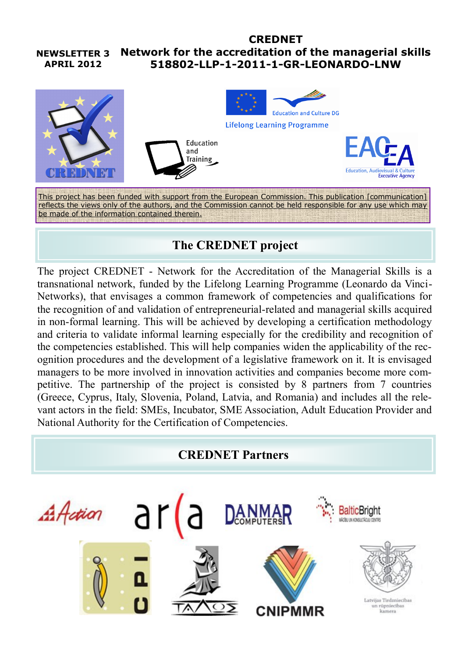#### **NEWSLETTER 3 APRIL 2012 CREDNET Network for the accreditation of the managerial skills 518802-LLP-1-2011-1-GR-LEONARDO-LNW**



This project has been funded with support from the European Commission. This publication [communication] reflects the views only of the authors, and the Commission cannot be held responsible for any use which may be made of the information contained therein.

# **The CREDNET project**

The project CREDNET - Network for the Accreditation of the Managerial Skills is a transnational network, funded by the Lifelong Learning Programme (Leonardo da Vinci-Networks), that envisages a common framework of competencies and qualifications for the recognition of and validation of entrepreneurial-related and managerial skills acquired in non-formal learning. This will be achieved by developing a certification methodology and criteria to validate informal learning especially for the credibility and recognition of the competencies established. This will help companies widen the applicability of the recognition procedures and the development of a legislative framework on it. It is envisaged managers to be more involved in innovation activities and companies become more competitive. The partnership of the project is consisted by 8 partners from 7 countries (Greece, Cyprus, Italy, Slovenia, Poland, Latvia, and Romania) and includes all the relevant actors in the field: SMEs, Incubator, SME Association, Adult Education Provider and National Authority for the Certification of Competencies.

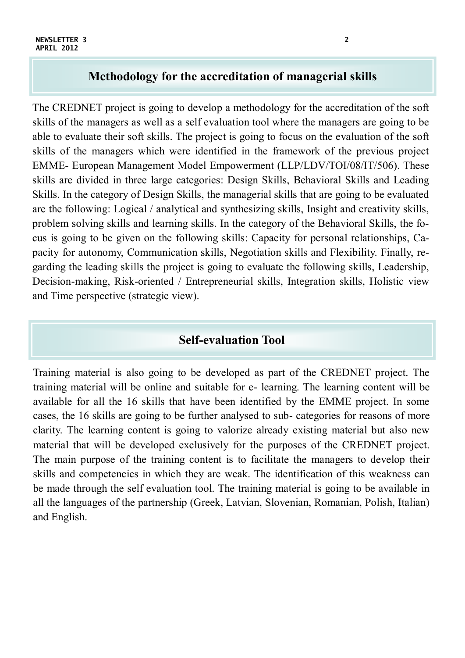### **Methodology for the accreditation of managerial skills**

The CREDNET project is going to develop a methodology for the accreditation of the soft skills of the managers as well as a self evaluation tool where the managers are going to be able to evaluate their soft skills. The project is going to focus on the evaluation of the soft skills of the managers which were identified in the framework of the previous project EMME- European Management Model Empowerment (LLP/LDV/TOI/08/IT/506). These skills are divided in three large categories: Design Skills, Behavioral Skills and Leading Skills. In the category of Design Skills, the managerial skills that are going to be evaluated are the following: Logical / analytical and synthesizing skills, Insight and creativity skills, problem solving skills and learning skills. In the category of the Behavioral Skills, the focus is going to be given on the following skills: Capacity for personal relationships, Capacity for autonomy, Communication skills, Negotiation skills and Flexibility. Finally, regarding the leading skills the project is going to evaluate the following skills, Leadership, Decision-making, Risk-oriented / Entrepreneurial skills, Integration skills, Holistic view and Time perspective (strategic view).

### **Self-evaluation Tool**

Training material is also going to be developed as part of the CREDNET project. The training material will be online and suitable for e- learning. The learning content will be available for all the 16 skills that have been identified by the EMME project. In some cases, the 16 skills are going to be further analysed to sub- categories for reasons of more clarity. The learning content is going to valorize already existing material but also new material that will be developed exclusively for the purposes of the CREDNET project. The main purpose of the training content is to facilitate the managers to develop their skills and competencies in which they are weak. The identification of this weakness can be made through the self evaluation tool. The training material is going to be available in all the languages of the partnership (Greek, Latvian, Slovenian, Romanian, Polish, Italian) and English.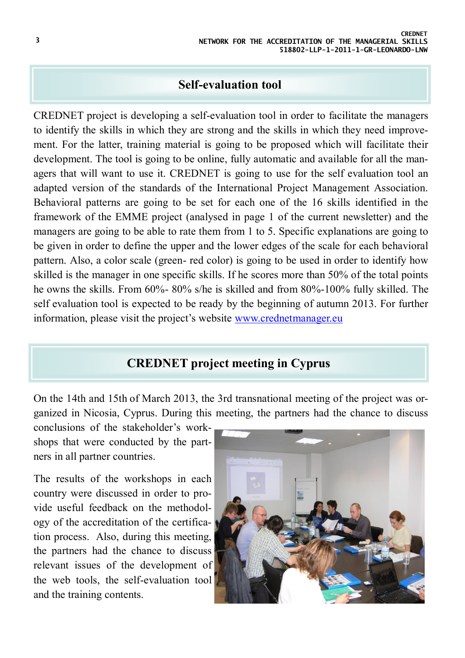### **Self-evaluation tool**

CREDNET project is developing a self-evaluation tool in order to facilitate the managers to identify the skills in which they are strong and the skills in which they need improvement. For the latter, training material is going to be proposed which will facilitate their development. The tool is going to be online, fully automatic and available for all the managers that will want to use it. CREDNET is going to use for the self evaluation tool an adapted version of the standards of the International Project Management Association. Behavioral patterns are going to be set for each one of the 16 skills identified in the framework of the EMME project (analysed in page 1 of the current newsletter) and the managers are going to be able to rate them from 1 to 5. Specific explanations are going to be given in order to define the upper and the lower edges of the scale for each behavioral pattern. Also, a color scale (green- red color) is going to be used in order to identify how skilled is the manager in one specific skills. If he scores more than 50% of the total points he owns the skills. From 60%- 80% s/he is skilled and from 80%-100% fully skilled. The self evaluation tool is expected to be ready by the beginning of autumn 2013. For further information, please visit the project's website [www.crednetmanager.eu](http://www.crednetmanager.eu)

## **CREDNET project meeting in Cyprus**

On the 14th and 15th of March 2013, the 3rd transnational meeting of the project was organized in Nicosia, Cyprus. During this meeting, the partners had the chance to discuss

conclusions of the stakeholder's workshops that were conducted by the partners in all partner countries.

The results of the workshops in each country were discussed in order to provide useful feedback on the methodology of the accreditation of the certification process. Also, during this meeting, the partners had the chance to discuss relevant issues of the development of the web tools, the self-evaluation tool and the training contents.